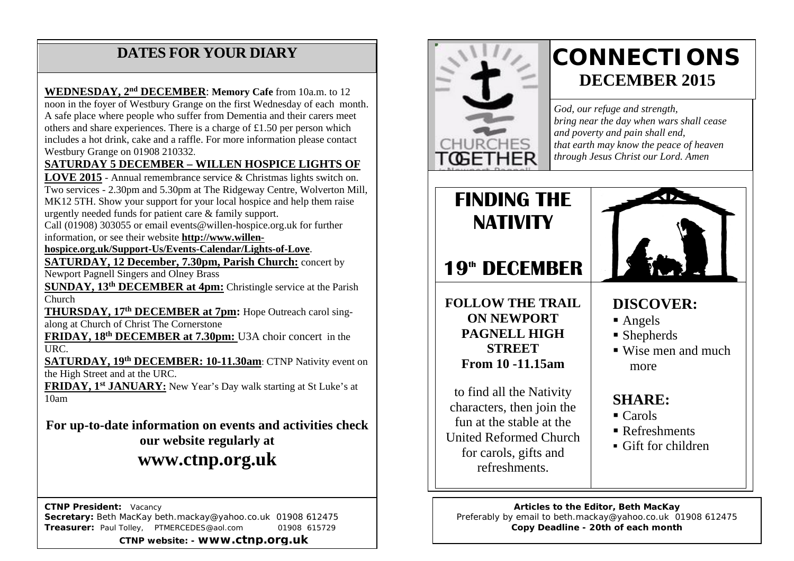### **DATES FOR YOUR DIARY**

includes a hot drink, cake and a raffle. For more information please contact<br>Wednesday of 21008.210222 A safe place where people who suffer from Dementia and their carers meet others and share experiences. There is a charge of £1.50 per person which **WEDNESDAY, 2nd DECEMBER**: **Memory Cafe** from 10a.m. to 12 noon in the foyer of Westbury Grange on the first Wednesday of each month. Westbury Grange on 01908 210332.

#### **SATURDAY 5 DECEMBER – WILLEN HOSPICE LIGHTS OF**

**LOVE 2015** - Annual remembrance service & Christmas lights switch on. Two services - 2.30pm and 5.30pm at The Ridgeway Centre, Wolverton Mill, MK12 5TH. Show your support for your local hospice and help them raise urgently needed funds for patient care & family support.

Call (01908) 303055 or email events@willen-hospice.org.uk for further information, or see their website **[http://www.willen-](http://www.willen-hospice.org.uk/Support-Us/Events-Calendar/Lights-of-Love)**

**[hospice.org.uk/Support-Us/Events-Calendar/Lights-of-Love](http://www.willen-hospice.org.uk/Support-Us/Events-Calendar/Lights-of-Love)**.

**SATURDAY, 12 December, 7.30pm, Parish Church:** concert by Newport Pagnell Singers and Olney Brass

**SUNDAY, 13th DECEMBER at 4pm:** Christingle service at the Parish Church

**THURSDAY, 17th DECEMBER at 7pm:** Hope Outreach carol singalong at Church of Christ The Cornerstone

**FRIDAY, 18th DECEMBER at 7.30pm:** U3A choir concert in the URC.

**SATURDAY, 19th DECEMBER: 10-11.30am**: CTNP Nativity event on the High Street and at the URC.

**FRIDAY, 1st JANUARY:** New Year's Day walk starting at St Luke's at  $\frac{1}{10}$ am

**For up-to-date information on events and activities check our website regularly at**

### **www.ctnp.org.uk**

 **CTNP President:** Vacancy **Secretary:** Beth MacKay beth.mackay@yahoo.co.uk 01908 612475 **Treasurer:** Paul Tolley, PTMERCEDES@aol.com 01908 615729 **CTNP website: - www.ctnp.org.uk**



refreshments.

# **CONNECTIONS DECEMBER 2015**

*God, our refuge and strength, bring near the day when wars shall cease and poverty and pain shall end, that earth may know the peace of heaven through Jesus Christ our Lord. Amen*



**Articles to the Editor, Beth MacKay** Preferably by email to beth.mackay@yahoo.co.uk 01908 612475 **Copy Deadline - 20th of each month**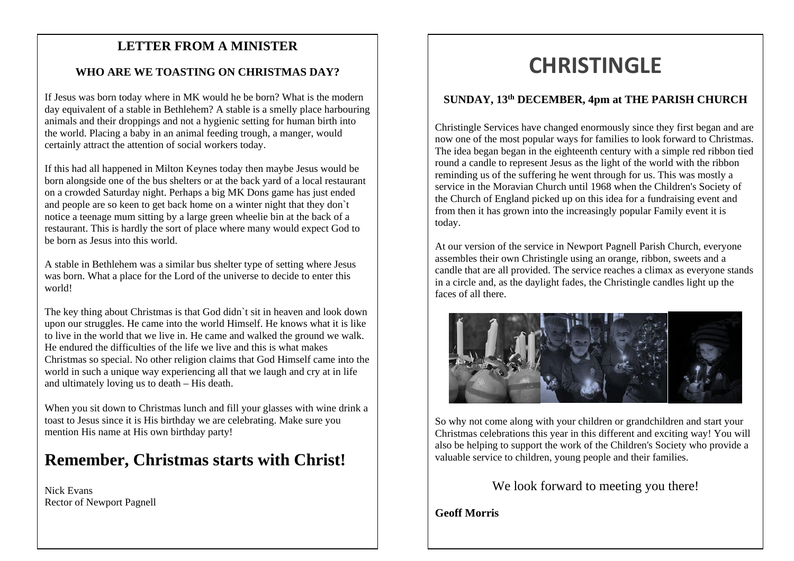## mee **LETTER FROM A MINISTER**

#### **WHO ARE WE TOASTING ON CHRISTMAS DAY?**

If Jesus was born today where in MK would he be born? What is the modern day equivalent of a stable in Bethlehem? A stable is a smelly place harbouring animals and their droppings and not a hygienic setting for human birth into the world. Placing a baby in an animal feeding trough, a manger, would certainly attract the attention of social workers today.

If this had all happened in Milton Keynes today then maybe Jesus would be born alongside one of the bus shelters or at the back yard of a local restaurant on a crowded Saturday night. Perhaps a big MK Dons game has just ended and people are so keen to get back home on a winter night that they don`t notice a teenage mum sitting by a large green wheelie bin at the back of a restaurant. This is hardly the sort of place where many would expect God to be born as Jesus into this world.

A stable in Bethlehem was a similar bus shelter type of setting where Jesus was born. What a place for the Lord of the universe to decide to enter this world!

The key thing about Christmas is that God didn`t sit in heaven and look down upon our struggles. He came into the world Himself. He knows what it is like to live in the world that we live in. He came and walked the ground we walk. He endured the difficulties of the life we live and this is what makes Christmas so special. No other religion claims that God Himself came into the world in such a unique way experiencing all that we laugh and cry at in life and ultimately loving us to death – His death.

When you sit down to Christmas lunch and fill your glasses with wine drink a toast to Jesus since it is His birthday we are celebrating. Make sure you mention His name at His own birthday party!

### **Remember, Christmas starts with Christ!**

Nick Evans Rector of Newport Pagnell

# **CHRISTINGLE**

#### **SUNDAY, 13th DECEMBER, 4pm at THE PARISH CHURCH**

Christingle Services have changed enormously since they first began and are now one of the most popular ways for families to look forward to Christmas. The idea began began in the eighteenth century with a simple red ribbon tied round a candle to represent Jesus as the light of the world with the ribbon reminding us of the suffering he went through for us. This was mostly a service in the Moravian Church until 1968 when the Children's Society of the Church of England picked up on this idea for a fundraising event and from then it has grown into the increasingly popular Family event it is today.

At our version of the service in Newport Pagnell Parish Church, everyone assembles their own Christingle using an orange, ribbon, sweets and a candle that are all provided. The service reaches a climax as everyone stands in a circle and, as the daylight fades, the Christingle candles light up the faces of all there.



So why not come along with your children or grandchildren and start your Christmas celebrations this year in this different and exciting way! You will also be helping to support the work of the Children's Society who provide a valuable service to children, young people and their families.

We look forward to meeting you there!

**Geoff Morris**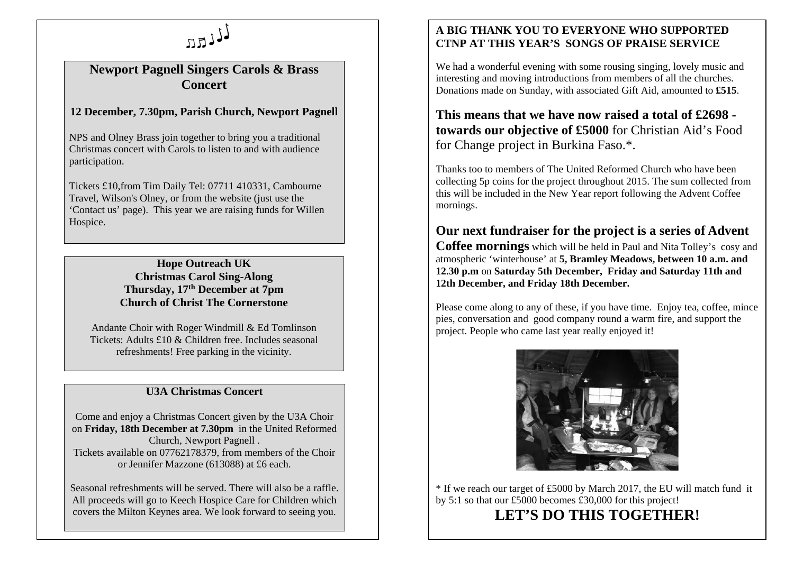

#### **Newport Pagnell Singers Carols & Brass Concert**

#### **12 December, 7.30pm, Parish Church, Newport Pagnell**

NPS and Olney Brass join together to bring you a traditional Christmas concert with Carols to listen to and with audience participation.

Tickets £10,from Tim Daily Tel: 07711 410331, Cambourne Travel, Wilson's Olney, or from the website (just use the 'Contact us' page). This year we are raising funds for Willen Hospice.

> **Hope Outreach UK Christmas Carol Sing-Along Thursday, 17th December at 7pm Church of Christ The Cornerstone**

Andante Choir with Roger Windmill & Ed Tomlinson Tickets: Adults £10 & Children free. Includes seasonal refreshments! Free parking in the vicinity.

#### **U3A Christmas Concert**

Come and enjoy a Christmas Concert given by the U3A Choir on **Friday, 18th December at 7.30pm** in the United Reformed Church, Newport Pagnell . Tickets available on 07762178379, from members of the Choir or Jennifer Mazzone (613088) at £6 each.

Seasonal refreshments will be served. There will also be a raffle. All proceeds will go to Keech Hospice Care for Children which covers the Milton Keynes area. We look forward to seeing you.

#### **A BIG THANK YOU TO EVERYONE WHO SUPPORTED CTNP AT THIS YEAR'S SONGS OF PRAISE SERVICE**

We had a wonderful evening with some rousing singing, lovely music and interesting and moving introductions from members of all the churches. Donations made on Sunday, with associated Gift Aid, amounted to **£515**.

**This means that we have now raised a total of £2698 towards our objective of £5000** for Christian Aid's Food for Change project in Burkina Faso.\*.

Thanks too to members of The United Reformed Church who have been collecting 5p coins for the project throughout 2015. The sum collected from this will be included in the New Year report following the Advent Coffee mornings.

#### **Our next fundraiser for the project is a series of Advent**

**Coffee mornings** which will be held in Paul and Nita Tolley's cosy and atmospheric 'winterhouse' at **5, Bramley Meadows, between 10 a.m. and 12.30 p.m** on **Saturday 5th December, Friday and Saturday 11th and 12th December, and Friday 18th December.**

Please come along to any of these, if you have time. Enjoy tea, coffee, mince pies, conversation and good company round a warm fire, and support the project. People who came last year really enjoyed it!



\* If we reach our target of £5000 by March 2017, the EU will match fund it by 5:1 so that our £5000 becomes £30,000 for this project! **LET'S DO THIS TOGETHER!**